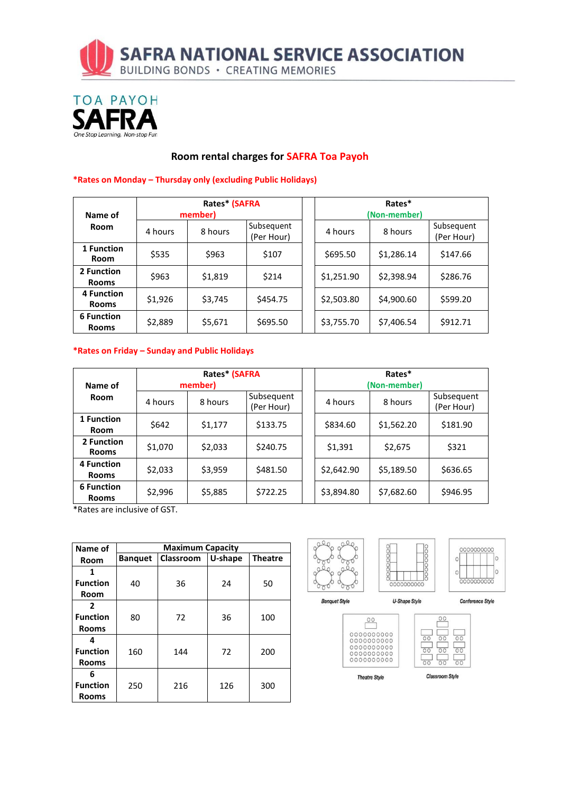



#### **Room rental charges for SAFRA Toa Payoh**

| Name of                           | Rates* (SAFRA<br>member) |         |                          | Rates*<br>(Non-member) |            |            |                          |
|-----------------------------------|--------------------------|---------|--------------------------|------------------------|------------|------------|--------------------------|
| <b>Room</b>                       | 4 hours                  | 8 hours | Subsequent<br>(Per Hour) |                        | 4 hours    | 8 hours    | Subsequent<br>(Per Hour) |
| 1 Function<br><b>Room</b>         | \$535                    | \$963   | \$107                    |                        | \$695.50   | \$1,286.14 | \$147.66                 |
| 2 Function<br><b>Rooms</b>        | \$963                    | \$1,819 | \$214                    |                        | \$1,251.90 | \$2,398.94 | \$286.76                 |
| <b>4 Function</b><br><b>Rooms</b> | \$1,926                  | \$3,745 | \$454.75                 |                        | \$2,503.80 | \$4,900.60 | \$599.20                 |
| <b>6 Function</b><br><b>Rooms</b> | \$2,889                  | \$5,671 | \$695.50                 |                        | \$3,755.70 | \$7,406.54 | \$912.71                 |

#### **\*Rates on Monday – Thursday only (excluding Public Holidays)**

#### **\*Rates on Friday – Sunday and Public Holidays**

| Name of                           | Rates* (SAFRA<br>member) |         |                          | Rates*<br>(Non-member) |            |                          |  |
|-----------------------------------|--------------------------|---------|--------------------------|------------------------|------------|--------------------------|--|
| <b>Room</b>                       | 4 hours                  | 8 hours | Subsequent<br>(Per Hour) | 4 hours                | 8 hours    | Subsequent<br>(Per Hour) |  |
| 1 Function<br><b>Room</b>         | \$642                    | \$1,177 | \$133.75                 | \$834.60               | \$1,562.20 | \$181.90                 |  |
| 2 Function<br><b>Rooms</b>        | \$1,070                  | \$2,033 | \$240.75                 | \$1,391                | \$2,675    | \$321                    |  |
| 4 Function<br><b>Rooms</b>        | \$2,033                  | \$3,959 | \$481.50                 | \$2,642.90             | \$5,189.50 | \$636.65                 |  |
| <b>6 Function</b><br><b>Rooms</b> | \$2,996                  | \$5,885 | \$722.25                 | \$3,894.80             | \$7,682.60 | \$946.95                 |  |

\*Rates are inclusive of GST.

| Name of         | <b>Maximum Capacity</b> |           |         |                |  |  |  |  |
|-----------------|-------------------------|-----------|---------|----------------|--|--|--|--|
| Room            | <b>Banquet</b>          | Classroom | U-shape | <b>Theatre</b> |  |  |  |  |
| 1               |                         |           |         |                |  |  |  |  |
| <b>Function</b> | 40                      | 36        | 24      | 50             |  |  |  |  |
| Room            |                         |           |         |                |  |  |  |  |
| $\mathbf{2}$    |                         |           |         |                |  |  |  |  |
| <b>Function</b> | 80                      | 72        | 36      | 100            |  |  |  |  |
| <b>Rooms</b>    |                         |           |         |                |  |  |  |  |
| Δ               |                         |           |         |                |  |  |  |  |
| <b>Function</b> | 160                     | 144       | 72      | 200            |  |  |  |  |
| <b>Rooms</b>    |                         |           |         |                |  |  |  |  |
| 6               |                         |           |         |                |  |  |  |  |
| <b>Function</b> | 250                     | 216       | 126     | 300            |  |  |  |  |
| <b>Rooms</b>    |                         |           |         |                |  |  |  |  |



 $00$ 

**Theatre Style** 

Classroom Style

 $\overline{OC}$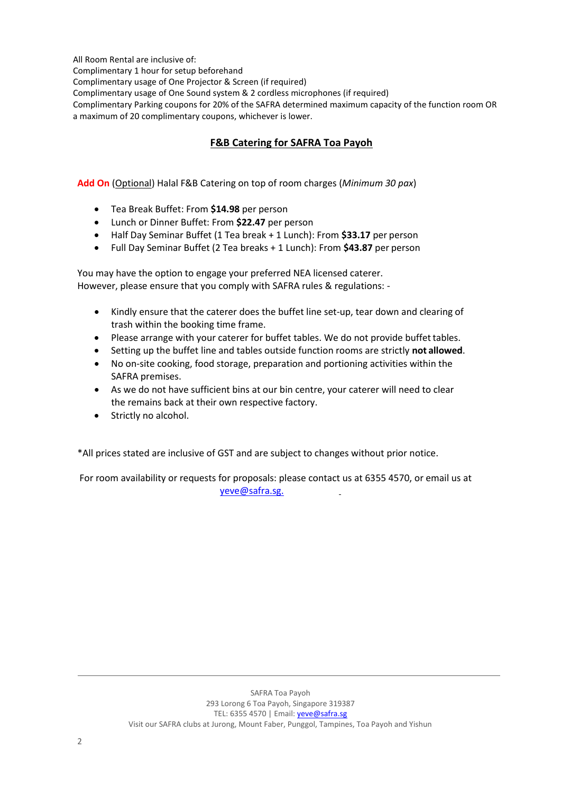All Room Rental are inclusive of:

Complimentary 1 hour for setup beforehand

Complimentary usage of One Projector & Screen (if required)

Complimentary usage of One Sound system & 2 cordless microphones (if required)

Complimentary Parking coupons for 20% of the SAFRA determined maximum capacity of the function room OR a maximum of 20 complimentary coupons, whichever is lower.

### **F&B Catering for SAFRA Toa Payoh**

**Add On** (Optional) Halal F&B Catering on top of room charges (*Minimum 30 pax*)

- Tea Break Buffet: From **\$14.98** per person
- Lunch or Dinner Buffet: From **\$22.47** per person
- Half Day Seminar Buffet (1 Tea break + 1 Lunch): From **\$33.17** per person
- Full Day Seminar Buffet (2 Tea breaks + 1 Lunch): From **\$43.87** per person

You may have the option to engage your preferred NEA licensed caterer. However, please ensure that you comply with SAFRA rules & regulations: -

- Kindly ensure that the caterer does the buffet line set-up, tear down and clearing of trash within the booking time frame.
- Please arrange with your caterer for buffet tables. We do not provide buffet tables.
- Setting up the buffet line and tables outside function rooms are strictly **not allowed**.
- No on-site cooking, food storage, preparation and portioning activities within the SAFRA premises.
- As we do not have sufficient bins at our bin centre, your caterer will need to clear the remains back at their own respective factory.
- Strictly no alcohol.

\*All prices stated are inclusive of GST and are subject to changes without prior notice.

For room availability or requests for proposals: please contact us at 6355 4570, or email us at [yeve@safra.sg.](mailto:yeve@safra.sg.)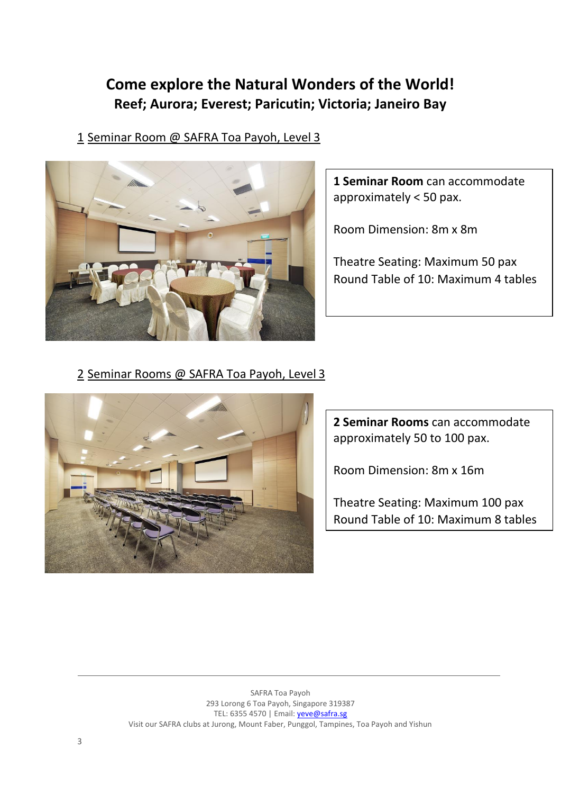# **Come explore the Natural Wonders of the World! Reef; Aurora; Everest; Paricutin; Victoria; Janeiro Bay**

1 Seminar Room @ SAFRA Toa Payoh, Level 3



**1 Seminar Room** can accommodate approximately < 50 pax.

Room Dimension: 8m x 8m

Theatre Seating: Maximum 50 pax Round Table of 10: Maximum 4 tables

2 Seminar Rooms @ SAFRA Toa Payoh, Level 3



**2 Seminar Rooms** can accommodate approximately 50 to 100 pax.

Room Dimension: 8m x 16m

Theatre Seating: Maximum 100 pax Round Table of 10: Maximum 8 tables

SAFRA Toa Payoh 293 Lorong 6 Toa Payoh, Singapore 319387 TEL: 6355 4570 | Email[: yeve@safra.sg](mailto:yeve@safra.sg) Visit our SAFRA clubs at Jurong, Mount Faber, Punggol, Tampines, Toa Payoh and Yishun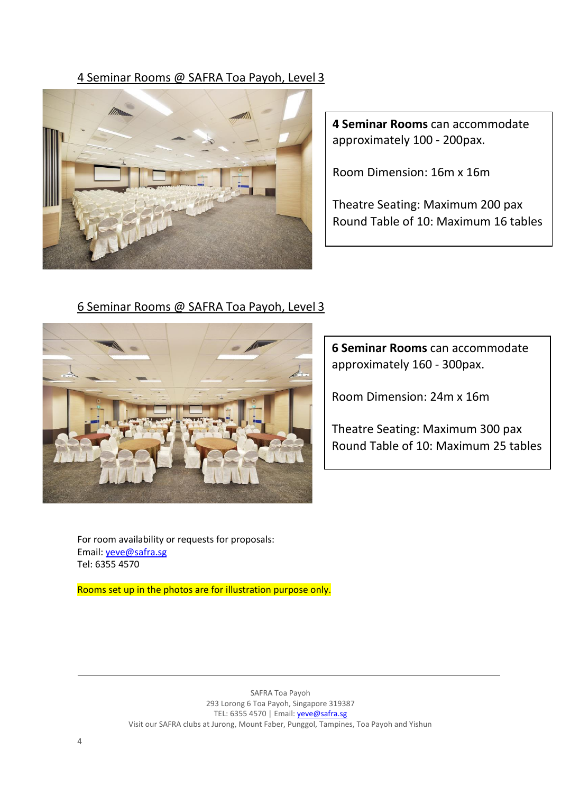## 4 Seminar Rooms @ SAFRA Toa Payoh, Level 3



**4 Seminar Rooms** can accommodate approximately 100 - 200pax.

Room Dimension: 16m x 16m

Theatre Seating: Maximum 200 pax Round Table of 10: Maximum 16 tables

## 6 Seminar Rooms @ SAFRA Toa Payoh, Level 3



**6 Seminar Rooms** can accommodate approximately 160 - 300pax.

Room Dimension: 24m x 16m

Theatre Seating: Maximum 300 pax Round Table of 10: Maximum 25 tables

For room availability or requests for proposals: Email: [yeve@safra.sg](mailto:yeve@safra.sg) Tel: 6355 4570

Rooms set up in the photos are for illustration purpose only.

SAFRA Toa Payoh 293 Lorong 6 Toa Payoh, Singapore 319387 TEL: 6355 4570 | Email[: yeve@safra.sg](mailto:yeve@safra.sg) Visit our SAFRA clubs at Jurong, Mount Faber, Punggol, Tampines, Toa Payoh and Yishun